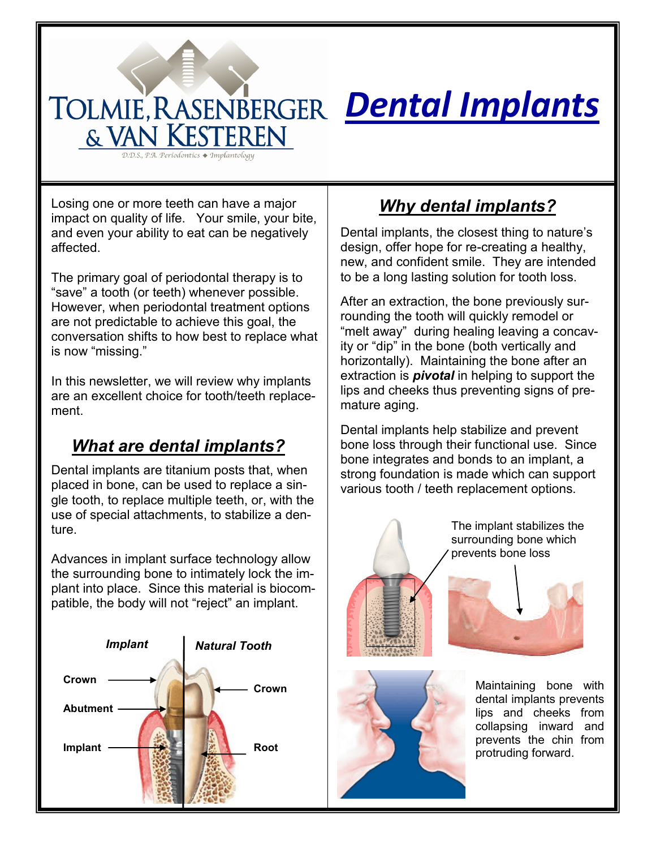# *Dental Implants*

Losing one or more teeth can have a major impact on quality of life. Your smile, your bite, and even your ability to eat can be negatively affected.

& VAN KESTEREN D.D.S., P.A. Periodontics ♦ Implantology

The primary goal of periodontal therapy is to "save" a tooth (or teeth) whenever possible. However, when periodontal treatment options are not predictable to achieve this goal, the conversation shifts to how best to replace what is now "missing."

In this newsletter, we will review why implants are an excellent choice for tooth/teeth replacement.

## *What are dental implants?*

Dental implants are titanium posts that, when placed in bone, can be used to replace a single tooth, to replace multiple teeth, or, with the use of special attachments, to stabilize a denture.

Advances in implant surface technology allow the surrounding bone to intimately lock the implant into place. Since this material is biocompatible, the body will not "reject" an implant.



## *Why dental implants?*

Dental implants, the closest thing to nature's design, offer hope for re-creating a healthy, new, and confident smile. They are intended to be a long lasting solution for tooth loss.

After an extraction, the bone previously surrounding the tooth will quickly remodel or "melt away" during healing leaving a concavity or "dip" in the bone (both vertically and horizontally). Maintaining the bone after an extraction is *pivotal* in helping to support the lips and cheeks thus preventing signs of premature aging.

Dental implants help stabilize and prevent bone loss through their functional use. Since bone integrates and bonds to an implant, a strong foundation is made which can support various tooth / teeth replacement options.





The implant stabilizes the surrounding bone which prevents bone loss



Maintaining bone with dental implants prevents lips and cheeks from collapsing inward and prevents the chin from protruding forward.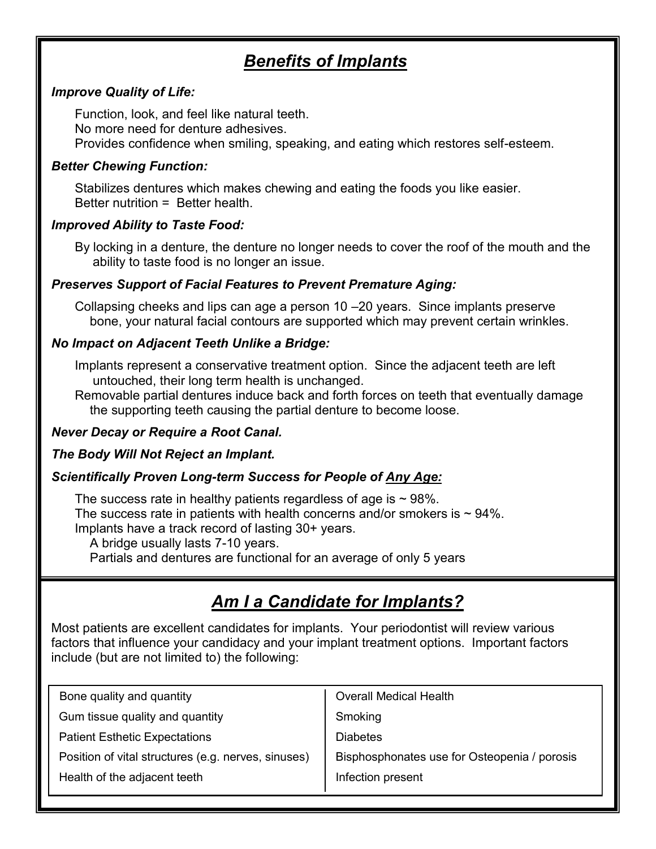## *Benefits of Implants*

#### *Improve Quality of Life:*

Function, look, and feel like natural teeth. No more need for denture adhesives. Provides confidence when smiling, speaking, and eating which restores self-esteem.

#### *Better Chewing Function:*

Stabilizes dentures which makes chewing and eating the foods you like easier. Better nutrition = Better health.

#### *Improved Ability to Taste Food:*

By locking in a denture, the denture no longer needs to cover the roof of the mouth and the ability to taste food is no longer an issue.

#### *Preserves Support of Facial Features to Prevent Premature Aging:*

Collapsing cheeks and lips can age a person 10 –20 years. Since implants preserve bone, your natural facial contours are supported which may prevent certain wrinkles.

#### *No Impact on Adjacent Teeth Unlike a Bridge:*

Implants represent a conservative treatment option. Since the adjacent teeth are left untouched, their long term health is unchanged.

Removable partial dentures induce back and forth forces on teeth that eventually damage the supporting teeth causing the partial denture to become loose.

#### *Never Decay or Require a Root Canal.*

#### *The Body Will Not Reject an Implant.*

#### *Scientifically Proven Long-term Success for People of Any Age:*

The success rate in healthy patients regardless of age is  $\sim$  98%. The success rate in patients with health concerns and/or smokers is  $\sim$  94%. Implants have a track record of lasting 30+ years.

A bridge usually lasts 7-10 years.

Partials and dentures are functional for an average of only 5 years

## *Am I a Candidate for Implants?*

Most patients are excellent candidates for implants. Your periodontist will review various factors that influence your candidacy and your implant treatment options. Important factors include (but are not limited to) the following:

| Bone quality and quantity                                                                           | <b>Overall Medical Health</b> |
|-----------------------------------------------------------------------------------------------------|-------------------------------|
| Gum tissue quality and quantity                                                                     | Smoking                       |
| <b>Patient Esthetic Expectations</b>                                                                | <b>Diabetes</b>               |
| Bisphosphonates use for Osteopenia / porosis<br>Position of vital structures (e.g. nerves, sinuses) |                               |
| Health of the adjacent teeth                                                                        | Infection present             |
|                                                                                                     |                               |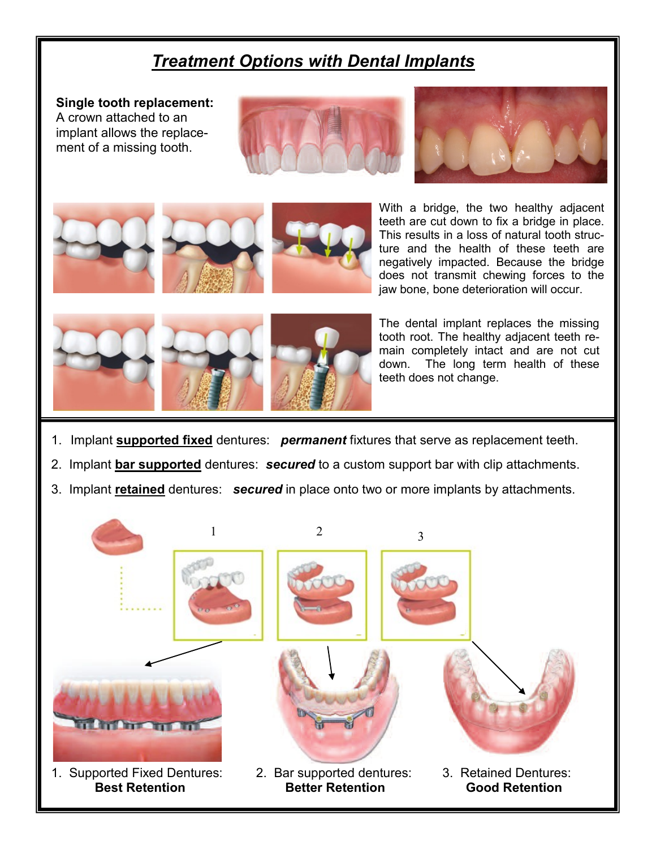### *Treatment Options with Dental Implants*

**Single tooth replacement:**  A crown attached to an implant allows the replacement of a missing tooth.











With a bridge, the two healthy adjacent teeth are cut down to fix a bridge in place. This results in a loss of natural tooth structure and the health of these teeth are negatively impacted. Because the bridge does not transmit chewing forces to the jaw bone, bone deterioration will occur.



The dental implant replaces the missing tooth root. The healthy adjacent teeth remain completely intact and are not cut down. The long term health of these teeth does not change.

- 1. Implant **supported fixed** dentures: *permanent* fixtures that serve as replacement teeth.
- 2. Implant **bar supported** dentures: *secured* to a custom support bar with clip attachments.
- 3. Implant **retained** dentures: *secured* in place onto two or more implants by attachments.